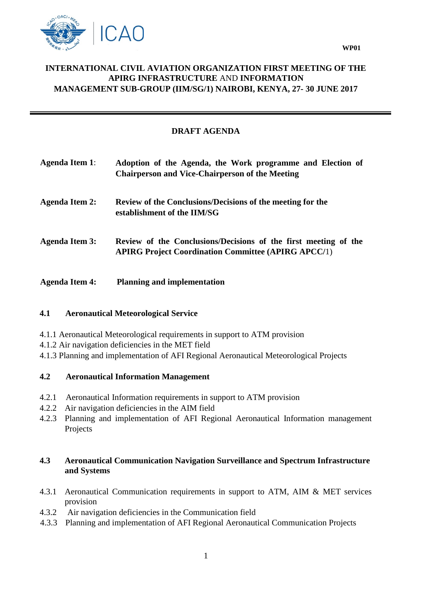

# **INTERNATIONAL CIVIL AVIATION ORGANIZATION FIRST MEETING OF THE APIRG INFRASTRUCTURE** AND **INFORMATION MANAGEMENT SUB-GROUP (IIM/SG/1) NAIROBI, KENYA, 27- 30 JUNE 2017**

## **DRAFT AGENDA**

| <b>Agenda Item 1:</b> | Adoption of the Agenda, the Work programme and Election of<br><b>Chairperson and Vice-Chairperson of the Meeting</b>          |
|-----------------------|-------------------------------------------------------------------------------------------------------------------------------|
| <b>Agenda Item 2:</b> | Review of the Conclusions/Decisions of the meeting for the<br>establishment of the IIM/SG                                     |
| <b>Agenda Item 3:</b> | Review of the Conclusions/Decisions of the first meeting of the<br><b>APIRG Project Coordination Committee (APIRG APCC/1)</b> |
| <b>Agenda Item 4:</b> | <b>Planning and implementation</b>                                                                                            |

# **4.1 Aeronautical Meteorological Service**

- 4.1.1 Aeronautical Meteorological requirements in support to ATM provision
- 4.1.2 Air navigation deficiencies in the MET field
- 4.1.3 Planning and implementation of AFI Regional Aeronautical Meteorological Projects

### **4.2 Aeronautical Information Management**

- 4.2.1 Aeronautical Information requirements in support to ATM provision
- 4.2.2 Air navigation deficiencies in the AIM field
- 4.2.3 Planning and implementation of AFI Regional Aeronautical Information management Projects

## **4.3 Aeronautical Communication Navigation Surveillance and Spectrum Infrastructure and Systems**

4.3.1 Aeronautical Communication requirements in support to ATM, AIM & MET services provision

1

- 4.3.2 Air navigation deficiencies in the Communication field
- 4.3.3 Planning and implementation of AFI Regional Aeronautical Communication Projects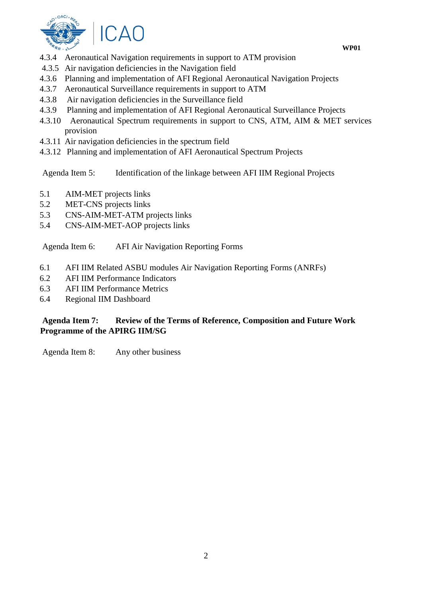

- 4.3.4 Aeronautical Navigation requirements in support to ATM provision
- 4.3.5 Air navigation deficiencies in the Navigation field
- 4.3.6 Planning and implementation of AFI Regional Aeronautical Navigation Projects
- 4.3.7 Aeronautical Surveillance requirements in support to ATM
- 4.3.8 Air navigation deficiencies in the Surveillance field
- 4.3.9 Planning and implementation of AFI Regional Aeronautical Surveillance Projects
- 4.3.10 Aeronautical Spectrum requirements in support to CNS, ATM, AIM & MET services provision
- 4.3.11 Air navigation deficiencies in the spectrum field
- 4.3.12 Planning and implementation of AFI Aeronautical Spectrum Projects

Agenda Item 5: Identification of the linkage between AFI IIM Regional Projects

- 5.1 AIM-MET projects links
- 5.2 MET-CNS projects links
- 5.3 CNS-AIM-MET-ATM projects links
- 5.4 CNS-AIM-MET-AOP projects links

Agenda Item 6: AFI Air Navigation Reporting Forms

- 6.1 AFI IIM Related ASBU modules Air Navigation Reporting Forms (ANRFs)
- 6.2 AFI IIM Performance Indicators
- 6.3 AFI IIM Performance Metrics
- 6.4 Regional IIM Dashboard

# **Agenda Item 7: Review of the Terms of Reference, Composition and Future Work Programme of the APIRG IIM/SG**

Agenda Item 8: Any other business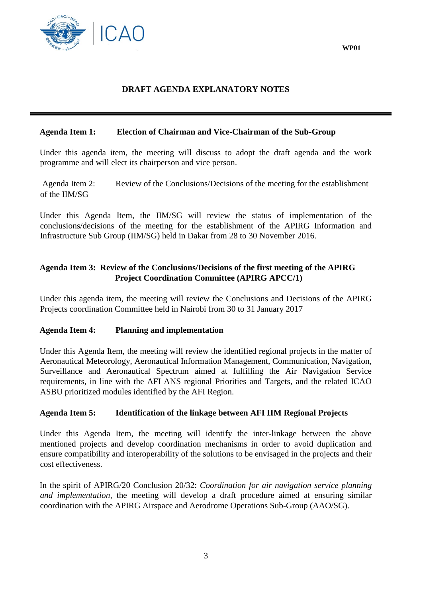

## **DRAFT AGENDA EXPLANATORY NOTES**

#### **Agenda Item 1: Election of Chairman and Vice-Chairman of the Sub-Group**

Under this agenda item, the meeting will discuss to adopt the draft agenda and the work programme and will elect its chairperson and vice person.

Agenda Item 2: Review of the Conclusions/Decisions of the meeting for the establishment of the IIM/SG

Under this Agenda Item, the IIM/SG will review the status of implementation of the conclusions/decisions of the meeting for the establishment of the APIRG Information and Infrastructure Sub Group (IIM/SG) held in Dakar from 28 to 30 November 2016.

## **Agenda Item 3: Review of the Conclusions/Decisions of the first meeting of the APIRG Project Coordination Committee (APIRG APCC/1)**

Under this agenda item, the meeting will review the Conclusions and Decisions of the APIRG Projects coordination Committee held in Nairobi from 30 to 31 January 2017

#### **Agenda Item 4: Planning and implementation**

Under this Agenda Item, the meeting will review the identified regional projects in the matter of Aeronautical Meteorology, Aeronautical Information Management, Communication, Navigation, Surveillance and Aeronautical Spectrum aimed at fulfilling the Air Navigation Service requirements, in line with the AFI ANS regional Priorities and Targets, and the related ICAO ASBU prioritized modules identified by the AFI Region.

#### **Agenda Item 5: Identification of the linkage between AFI IIM Regional Projects**

Under this Agenda Item, the meeting will identify the inter-linkage between the above mentioned projects and develop coordination mechanisms in order to avoid duplication and ensure compatibility and interoperability of the solutions to be envisaged in the projects and their cost effectiveness.

In the spirit of APIRG/20 Conclusion 20/32: *Coordination for air navigation service planning and implementation,* the meeting will develop a draft procedure aimed at ensuring similar coordination with the APIRG Airspace and Aerodrome Operations Sub-Group (AAO/SG).

3